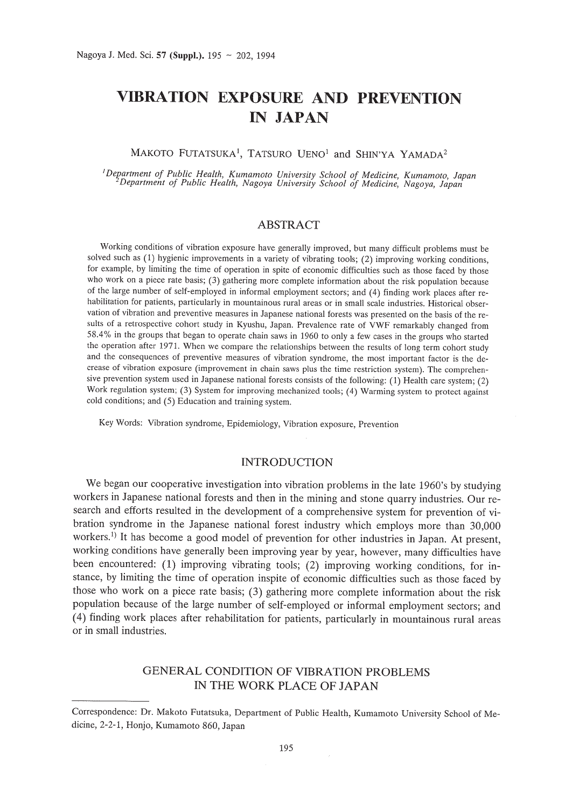# **VIBRATION EXPOSURE AND PREVENTION IN JAPAN**

#### MAKOTO FUTATSUKA<sup>1</sup>, TATSURO UENO<sup>1</sup> and SHIN'YA YAMADA<sup>2</sup>

<sup>1</sup>Department of Public Health, Kumamoto University School of Medicine, Kumamoto, Japan<sup>2</sup>Department of Public Health, Nagoya University School of Medicine, Nagoya, Japan

### ABSTRACT

Working conditions of vibration exposure have generally improved, but many difficult problems must be solved such as (1) hygienic improvements in a variety of vibrating tools; (2) improving working conditions, for example, by limiting the time of operation in spite of economic difficulties such as those faced by those who work on a piece rate basis; (3) gathering more complete information about the risk population because of the large number of self-employed in informal employment sectors; and (4) finding work places after rehabilitation for patients, particularly in mountainous rural areas or in small scale industries. Historical observation of vibration and preventive measures in Japanese national forests was presented on the basis of the results of a retrospective cohort study in Kyushu, Japan. Prevalence rate of VWF remarkably changed from 58.4% in the groups that began to operate chain saws in 1960 to only a few cases in the groups who started the operation after 1971. When we compare the relationships between the results of long term cohort study and the consequences of preventive measures of vibration syndrome, the most important factor is the decrease of vibration exposure (improvement in chain saws plus the time restriction system). The comprehensive prevention system used in Japanese national forests consists of the following: (1) Health care system; (2) Work regulation system; (3) System for improving mechanized tools; (4) Warming system to protect against cold conditions; and (5) Education and training system.

Key Words: Vibration syndrome, Epidemiology, Vibration exposure, Prevention

#### INTRODUCTION

We began our cooperative investigation into vibration problems in the late 1960's by studying workers in Japanese national forests and then in the mining and stone quarry industries. Our research and efforts resulted in the development of a comprehensive system for prevention of vibration syndrome in the Japanese national forest industry which employs more than 30,000 workers.<sup>1)</sup> It has become a good model of prevention for other industries in Japan. At present, working conditions have generally been improving year by year, however, many difficulties have been encountered: (1) improving vibrating tools; (2) improving working conditions, for instance, by limiting the time of operation inspite of economic difficulties such as those faced by those who work on a piece rate basis; (3) gathering more complete information about the risk population because of the large number of self-employed or informal employment sectors; and (4) finding work places after rehabilitation for patients, particularly in mountainous rural areas or in small industries.

## GENERAL CONDITION OF VIBRATION PROBLEMS IN THE WORK PLACE OF JAPAN

Correspondence: Dr. Makoto Futatsuka, Department of Public Health, Kumamoto University School of Medicine, 2-2-1, Honjo, Kumamoto 860, Japan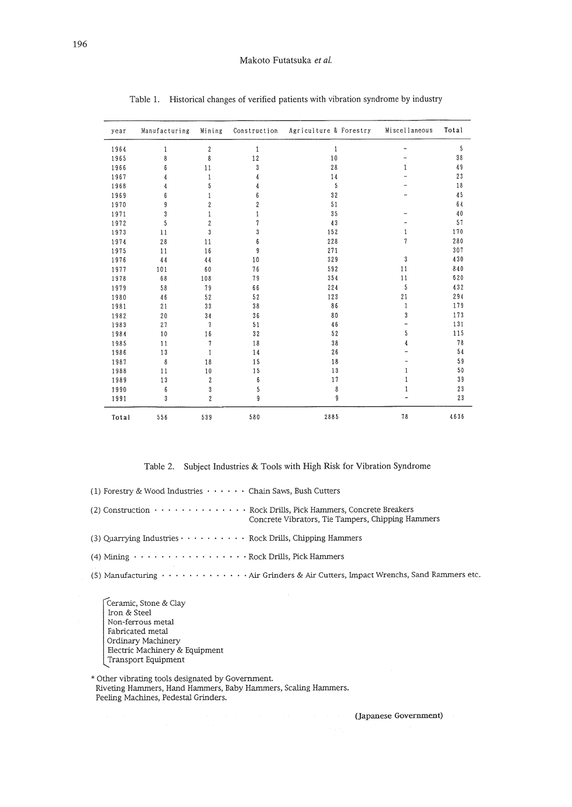| year  | Manufacturing | Mining                  | Construction   | Agriculture & Forestry | Miscellaneous | Total |
|-------|---------------|-------------------------|----------------|------------------------|---------------|-------|
| 1964  | 1             | $\boldsymbol{2}$        | $\mathbf{1}$   | $\mathbf{1}$           |               | 5     |
| 1965  | 8             | 8                       | 12             | 10                     |               | 38    |
| 1966  | 6             | 11                      | 3              | 28                     | 1             | 49    |
| 1967  | 4             | 1                       | 4              | 14                     |               | 23    |
| 1968  | 4             | 5                       | 4              | 5                      |               | 18    |
| 1969  | 6             |                         | 6              | 32                     |               | 45    |
| 1970  | 9             | $\overline{\mathbf{c}}$ | $\overline{c}$ | 51                     |               | 64    |
| 1971  | 3             |                         |                | 35                     |               | 40    |
| 1972  | 5             | $\overline{c}$          | 7              | 43                     |               | 57    |
| 1973  | 11            | 3                       | 3              | 152                    | 1             | 170   |
| 1974  | 28            | 11                      | 6              | 228                    | 7             | 280   |
| 1975  | 11            | 16                      | 9              | 271                    |               | 307   |
| 1976  | 44            | 44                      | 10             | 329                    | 3             | 430   |
| 1977  | 101           | 60                      | 76             | 592                    | 11            | 840   |
| 1978  | 68            | 108                     | 79             | 354                    | 11            | 620   |
| 1979  | 58            | 79                      | 66             | 224                    | 5             | 432   |
| 1980  | 46            | 52                      | 52             | 123                    | 21            | 294   |
| 1981  | 21            | 33                      | 38             | 86                     | 1             | 179   |
| 1982  | 20            | 34                      | 36             | 80                     | 3             | 173   |
| 1983  | 27            |                         | 51             | 46                     |               | 131   |
| 1984  | 10            | 16                      | 32             | 52                     | 5             | 115   |
| 1985  | 11            | 7                       | 18             | $3\,8$                 | 4             | 78    |
| 1986  | 13            | 1                       | 14             | 26                     |               | 54    |
| 1987  | 8             | 18                      | 15             | 18                     |               | 59    |
| 1988  | 11            | 10                      | 15             | 13                     |               | 50    |
| 1989  | 13            | $\mathbf{2}$            | 6              | 17                     |               | 39    |
| 1990  | 6             | 3                       | 5              | 8                      |               | 23    |
| 1991  | 3             | $\overline{c}$          | 9              | 9                      |               | 23    |
| Total | 556           | 539                     | 580            | 2885                   | 78            | 4636  |

Table l. Historical changes of verified patients with vibration syndrome by industry

Table 2. Subject Industries & Tools with High Risk for Vibration Syndrome

| (1) Forestry & Wood Industries $\cdots$ $\cdots$ Chain Saws, Bush Cutters                                                                      |
|------------------------------------------------------------------------------------------------------------------------------------------------|
| (2) Construction · · · · · · · · · · · · · · Rock Drills, Pick Hammers, Concrete Breakers<br>Concrete Vibrators, Tie Tampers, Chipping Hammers |
| $(3)$ Quarrying Industries $\cdots \cdots \cdots$ Rock Drills, Chipping Hammers                                                                |
| (4) Mining Rock Drills, Pick Hammers                                                                                                           |
| (5) Manufacturing · · · · · · · · · · · · · Air Grinders & Air Cutters, Impact Wrenchs, Sand Rammers etc.                                      |

Ceramic, Stone & Clay Iron & Steel Non-ferrous metal Fabricated metal Ordinary Machinery Bectric Machinery & Equipment Transport Equipment

\* Other vibrating tools designated by Government. Riveting Hammers, Hand Hammers, Baby Hammers, Scaling Hammers. Peeling Machines, Pedestal Grinders.

(Japanese Government)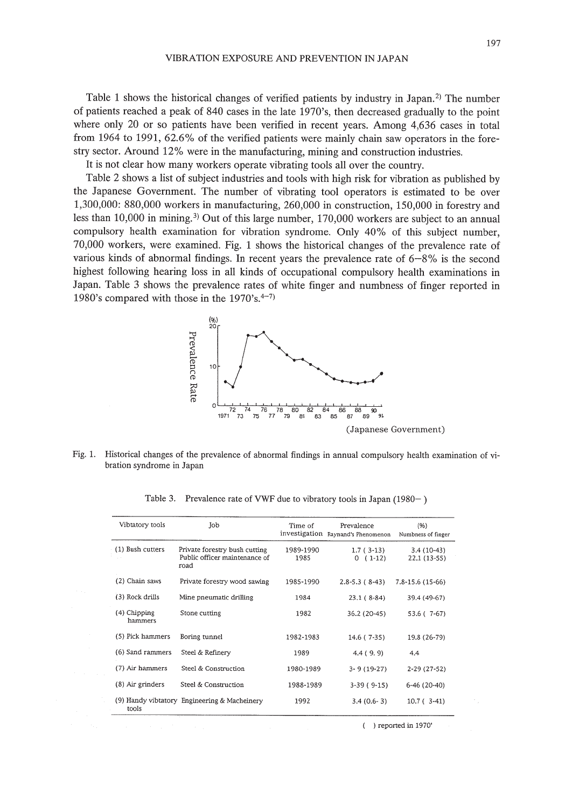Table 1 shows the historical changes of verified patients by industry in Japan.<sup>2)</sup> The number of patients reached a peak of 840 cases in the late 1970's, then decreased gradually to the point where only 20 or so patients have been verified in recent years. Among 4,636 cases in total from 1964 to 1991, 62.6% of the verified patients were mainly chain saw operators in the forestry sector. Around 12% were in the manufacturing, mining and construction industries.

It is not clear how many workers operate vibrating tools all over the country.

Table 2 shows a list of subject industries and tools with high risk for vibration as published by the Japanese Government. The number of vibrating tool operators is estimated to be over 1,300,000: 880,000 workers in manufacturing, 260,000 in construction, 150,000 in forestry and less than 10,000 in mining.<sup>3</sup> Out of this large number, 170,000 workers are subject to an annual compulsory health examination for vibration syndrome. Only 40% of this subject number, 70,000 workers, were examined. Fig. 1 shows the historical changes of the prevalence rate of various kinds of abnormal findings. In recent years the prevalence rate of 6-8% is the second highest following hearing loss in all kinds of occupational compulsory health examinations in Japan. Table 3 shows the prevalence rates of white finger and numbness of finger reported in 1980's compared with those in the  $1970's.^{4-7}$ .



Fig. 1. Historical changes of the prevalence of abnormal findings in annual compulsory health examination of vibration syndrome in Japan

| Vibtatory tools         | Job                                                                    | Time of           | Prevalence<br>investigation Raynand's Phenomenon | (96)<br>Numbness of finger   |
|-------------------------|------------------------------------------------------------------------|-------------------|--------------------------------------------------|------------------------------|
| (1) Bush cutters        | Private forestry bush cutting<br>Public officer maintenance of<br>road | 1989-1990<br>1985 | $1.7(3-13)$<br>$0(1-12)$                         | $3.4(10-43)$<br>22.1 (13-55) |
| (2) Chain saws          | Private forestry wood sawing                                           | 1985-1990         | $2.8 - 5.3 (8 - 43)$                             | 7.8-15.6 (15-66)             |
| (3) Rock drills         | Mine pneumatic drilling                                                | 1984              | $23.1(8-84)$                                     | 39.4 (49-67)                 |
| (4) Chipping<br>hammers | Stone cutting                                                          | 1982              | 36.2 (20-45)                                     | 53.6 (7-67)                  |
| (5) Pick hammers        | Boring tunnel                                                          | 1982-1983         | 14.6 (7-35)                                      | 19.8 (26-79)                 |
| (6) Sand rammers        | Steel & Refinery                                                       | 1989              | 4.4(9.9)                                         | 4.4                          |
| (7) Air hammers         | Steel & Construction                                                   | 1980-1989         | 3-9 (19-27)                                      | 2-29 (27-52)                 |
| (8) Air grinders        | Steel & Construction                                                   | 1988-1989         | $3-39(9-15)$                                     | $6-46(20-40)$                |
| tools                   | (9) Handy vibtatory Engineering & Macheinery                           | 1992              | $3.4(0.6-3)$                                     | $10.7(3-41)$                 |

Table 3. Prevalence rate of VWF due to vibratory tools in Japan  $(1980-)$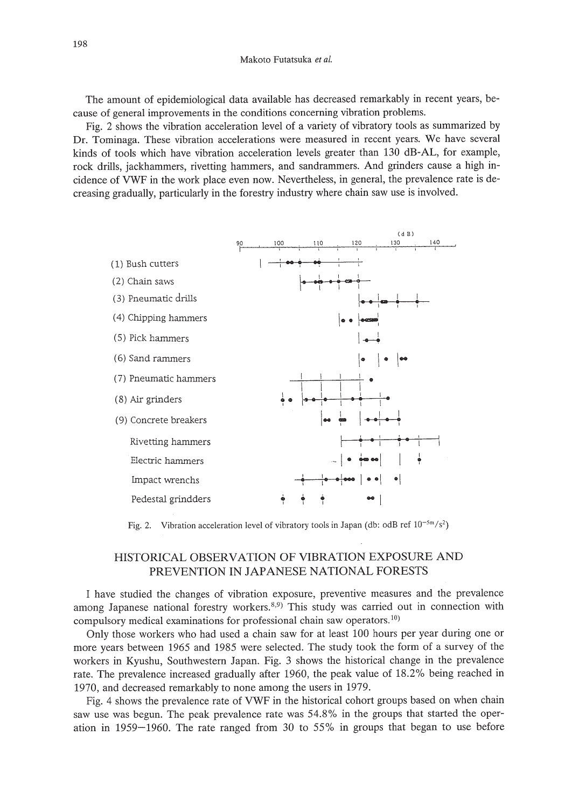The amount of epidemiological data available has decreased remarkably in recent years, because of general improvements in the conditions concerning vibration problems.

Fig. 2 shows the vibration acceleration level of a variety of vibratory tools as summarized by Dr. Tominaga. These vibration accelerations were measured in recent years. We have several kinds of tools which have vibration acceleration levels greater than 130 dB-AL, for example, rock drills, jackhammers, rivetting hammers, and sandrammers. And grinders cause a high incidence of VWF in the work place even now. Nevertheless, in general, the prevalence rate is decreasing gradually, particularly in the forestry industry where chain saw use is involved.



Fig. 2. Vibration acceleration level of vibratory tools in Japan (db: odB ref  $10^{-5m}/s^2$ )

# HISTORICAL OBSERVATION OF VIERATION EXPOSURE AND PREVENTION IN JAPANESE NATIONAL FORESTS

I have studied the changes of vibration exposure, preventive measures and the prevalence among Japanese national forestry workers. $8.9$  This study was carried out in connection with compulsory medical examinations for professional chain saw operators.<sup>10)</sup>

Only those workers who had used a chain saw for at least 100 hours per year during one or more years between 1965 and 1985 were selected. The study took the form of a survey of the workers in Kyushu, Southwestern Japan. Fig. 3 shows the historical change in the prevalence rate. The prevalence increased gradually after 1960, the peak value of 18.2% being reached in 1970, and decreased remarkably to none among the users in 1979.

Fig. 4 shows the prevalence rate of VWF in the historical cohort groups based on when chain saw use was begun. The peak prevalence rate was 54.8% in the groups that started the operation in 1959-1960. The rate ranged from 30 to 55% in groups that began to use before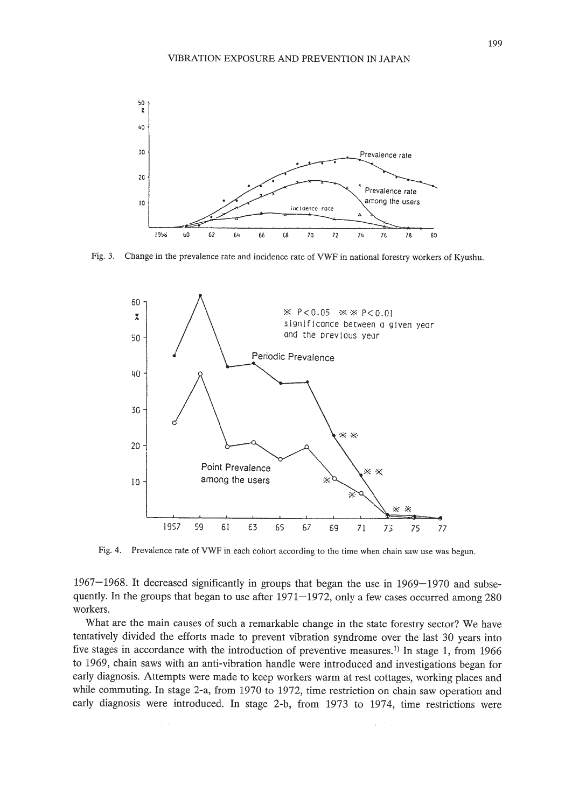

Fig. 3. Change in the prevalence rate and incidence rate of VWF in national forestry workers of Kyushu.



Fig. 4. Prevalence rate of VWF in each cohort according to the time when chain saw use was begun.

1967-1968. It decreased significantly in groups that began the use in 1969-1970 and subsequently. In the groups that began to use after 1971-1972, only a few cases occurred among 280 workers.

What are the main causes of such a remarkable change in the state forestry sector? We have tentatively divided the efforts made to prevent vibration syndrome over the last 30 years into five stages in accordance with the introduction of preventive measures.<sup>1)</sup> In stage 1, from 1966 to 1969, chain saws with an anti-vibration handle were introduced and investigations began for early diagnosis. Attempts were made to keep workers warm at rest cottages, working places and while commuting. In stage 2-a, from 1970 to 1972, time restriction on chain saw operation and early diagnosis were introduced. In stage 2-b, from 1973 to 1974, time restrictions were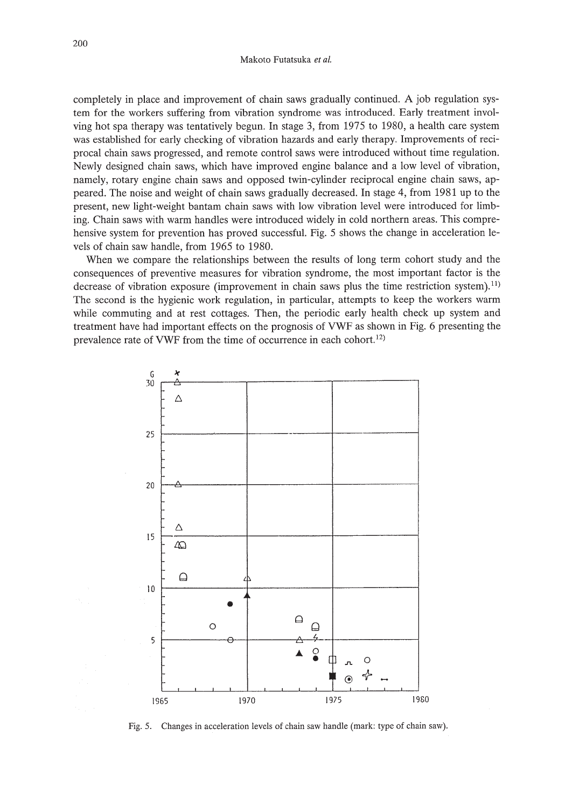completely in place and improvement of chain saws gradually continued. A job regulation system for the workers suffering from vibration syndrome was introduced. Early treatment involving hot spa therapy was tentatively begun. **In** stage 3, from 1975 to 1980, a health care system was established for early checking of vibration hazards and early therapy. Improvements of reciprocal chain saws progressed, and remote control saws were introduced without time regulation. Newly designed chain saws, which have improved engine balance and a low level of vibration, namely, rotary engine chain saws and opposed twin-cylinder reciprocal engine chain saws, appeared. The noise and weight of chain saws gradually decreased. **In** stage 4, from 1981 up to the present, new light-weight bantam chain saws with low vibration level were introduced for limbing. Chain saws with warm handles were introduced widely in cold northern areas. This comprehensive system for prevention has proved successful. Fig. 5 shows the change in acceleration levels of chain saw handle, from 1965 to 1980.

When we compare the relationships between the results of long term cohort study and the consequences of preventive measures for vibration syndrome, the most important factor is the decrease of vibration exposure (improvement in chain saws plus the time restriction system).<sup>11)</sup> The second is the hygienic work regulation, in particular, attempts to keep the workers warm while commuting and at rest cottages. Then, the periodic early health check up system and treatment have had important effects on the prognosis of VWF as shown in Fig. 6 presenting the prevalence rate of VWF from the time of occurrence in each cohort.<sup>12)</sup>



Fig. 5. Changes in acceleration levels of chain saw handle (mark: type of chain saw).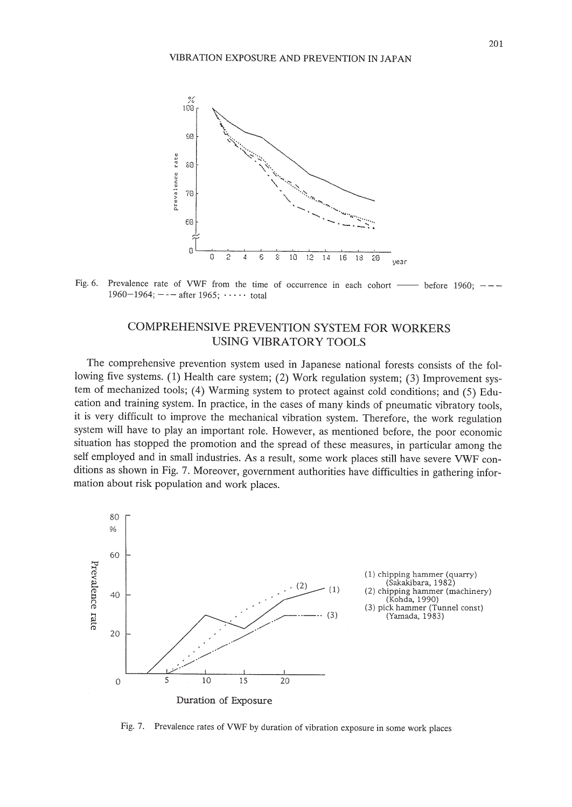

1960-1964;  $---$  after 1965;  $...$  total

# COMPREHENSIVE PREVENTION SYSTEM FOR WORKERS USING VIBRATORY TOOLS

The comprehensive prevention system used in Japanese national forests consists of the following five systems. (1) Health care system; (2) Work regulation system; (3) Improvement system of mechanized tools; (4) Warming system to protect against cold conditions; and (5) Education and training system. **In** practice, in the cases of many kinds of pneumatic vibratory tools, it is very difficult to improve the mechanical vibration system. Therefore, the work regulation system will have to play an important role. However, as mentioned before, the poor economic situation has stopped the promotion and the spread of these measures, in particular among the self employed and in small industries. As a result, some work places still have severe VWF conditions as shown in Fig. 7. Moreover, government authorities have difficulties in gathering information about risk population and work places.



Fig. 7. Prevalence rates of VWF by duration of vibration exposure in some work places